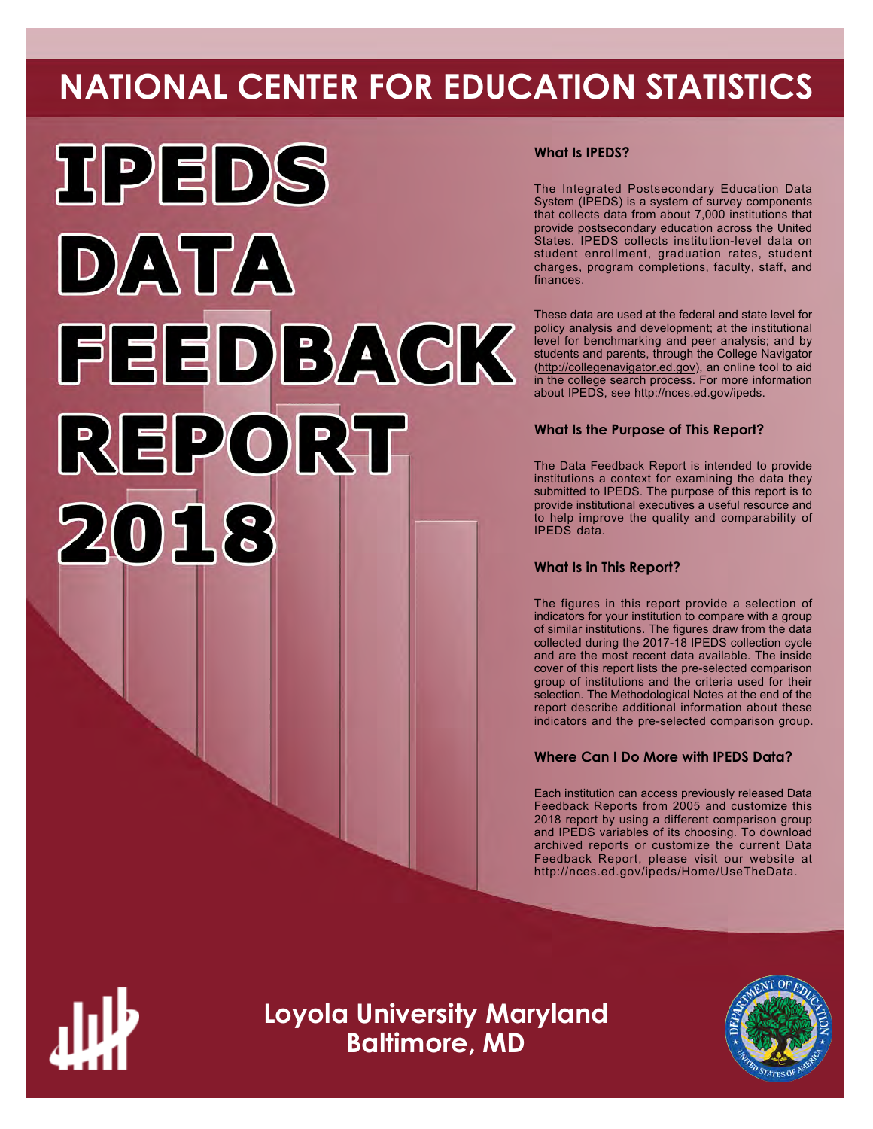# **NATIONAL CENTER FOR EDUCATION STATISTICS**



# **What Is IPEDS?**

The Integrated Postsecondary Education Data System (IPEDS) is a system of survey components that collects data from about 7,000 institutions that provide postsecondary education across the United States. IPEDS collects institution-level data on student enrollment, graduation rates, student charges, program completions, faculty, staff, and finances.

These data are used at the federal and state level for policy analysis and development; at the institutional level for benchmarking and peer analysis; and by students and parents, through the College Navigator ([http://collegenavigator.ed.gov\)](http://collegenavigator.ed.gov), an online tool to aid in the college search process. For more information about IPEDS, see [http://nces.ed.gov/ipeds.](http://nces.ed.gov/ipeds)

# **What Is the Purpose of This Report?**

The Data Feedback Report is intended to provide institutions a context for examining the data they submitted to IPEDS. The purpose of this report is to provide institutional executives a useful resource and to help improve the quality and comparability of IPEDS data.

# **What Is in This Report?**

The figures in this report provide a selection of indicators for your institution to compare with a group of similar institutions. The figures draw from the data collected during the 2017-18 IPEDS collection cycle and are the most recent data available. The inside cover of this report lists the pre-selected comparison group of institutions and the criteria used for their selection. The Methodological Notes at the end of the report describe additional information about these indicators and the pre-selected comparison group.

# **Where Can I Do More with IPEDS Data?**

Each institution can access previously released Data Feedback Reports from 2005 and customize this 2018 report by using a different comparison group and IPEDS variables of its choosing. To download archived reports or customize the current Data Feedback Report, please visit our website at <http://nces.ed.gov/ipeds/Home/UseTheData>.



**Loyola University Maryland Baltimore, MD**

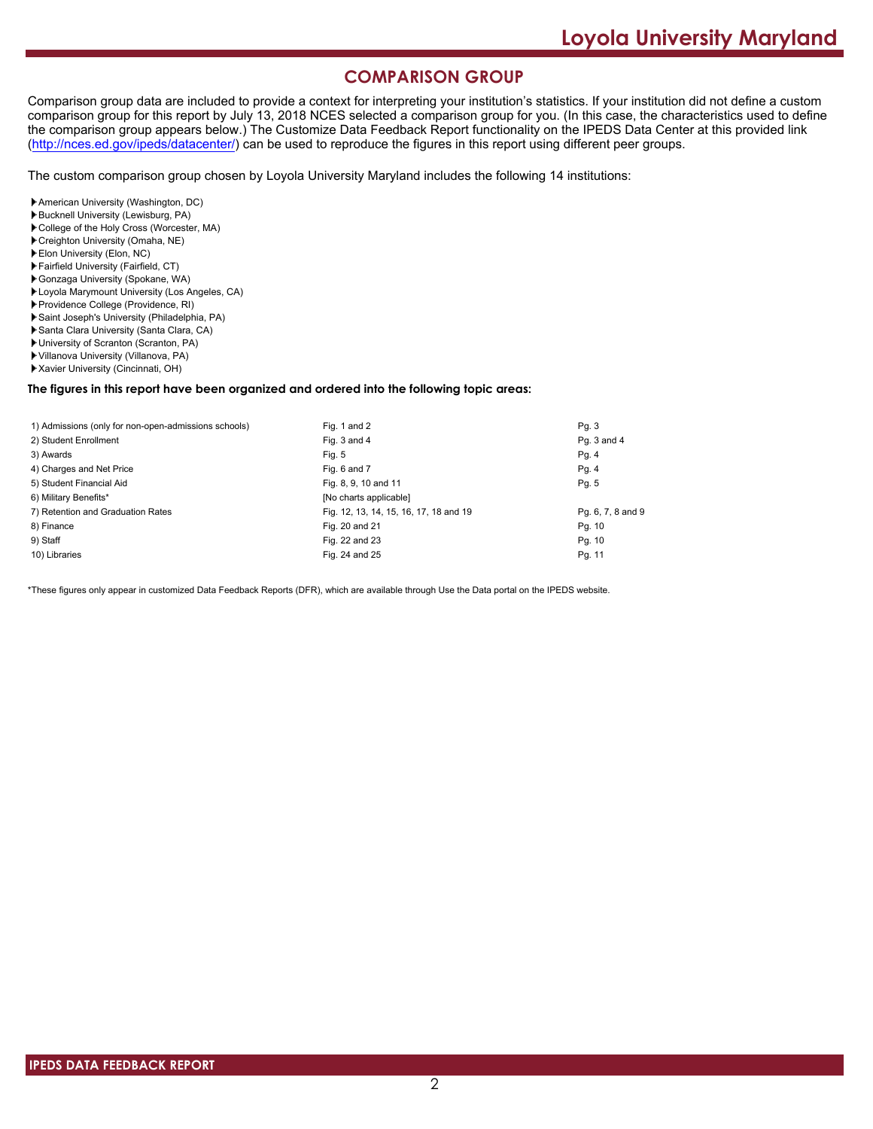# **COMPARISON GROUP**

Comparison group data are included to provide a context for interpreting your institution's statistics. If your institution did not define a custom comparison group for this report by July 13, 2018 NCES selected a comparison group for you. (In this case, the characteristics used to define the comparison group appears below.) The Customize Data Feedback Report functionality on the IPEDS Data Center at this provided link [\(http://nces.ed.gov/ipeds/datacenter/\)](http://nces.ed.gov/ipeds/datacenter/) can be used to reproduce the figures in this report using different peer groups.

The custom comparison group chosen by Loyola University Maryland includes the following 14 institutions:

- American University (Washington, DC)
- Bucknell University (Lewisburg, PA)
- College of the Holy Cross (Worcester, MA)
- Creighton University (Omaha, NE)
- Elon University (Elon, NC)
- Fairfield University (Fairfield, CT)
- Gonzaga University (Spokane, WA)
- Loyola Marymount University (Los Angeles, CA)
- Providence College (Providence, RI) Saint Joseph's University (Philadelphia, PA)
- 
- Santa Clara University (Santa Clara, CA) University of Scranton (Scranton, PA)
- Villanova University (Villanova, PA)
- Xavier University (Cincinnati, OH)

#### **The figures in this report have been organized and ordered into the following topic areas:**

| 1) Admissions (only for non-open-admissions schools) | Fig. 1 and 2                           | Pg.3              |
|------------------------------------------------------|----------------------------------------|-------------------|
| 2) Student Enrollment                                | Fig. 3 and 4                           | Pq. 3 and 4       |
| 3) Awards                                            | Fig. 5                                 | Pg. 4             |
| 4) Charges and Net Price                             | Fig. 6 and 7                           | Pg.4              |
| 5) Student Financial Aid                             | Fig. 8, 9, 10 and 11                   | Pg. 5             |
| 6) Military Benefits*                                | [No charts applicable]                 |                   |
| 7) Retention and Graduation Rates                    | Fig. 12, 13, 14, 15, 16, 17, 18 and 19 | Pg. 6, 7, 8 and 9 |
| 8) Finance                                           | Fig. 20 and 21                         | Pg. 10            |
| 9) Staff                                             | Fig. 22 and 23                         | Pg. 10            |
| 10) Libraries                                        | Fig. 24 and 25                         | Pg. 11            |

\*These figures only appear in customized Data Feedback Reports (DFR), which are available through Use the Data portal on the IPEDS website.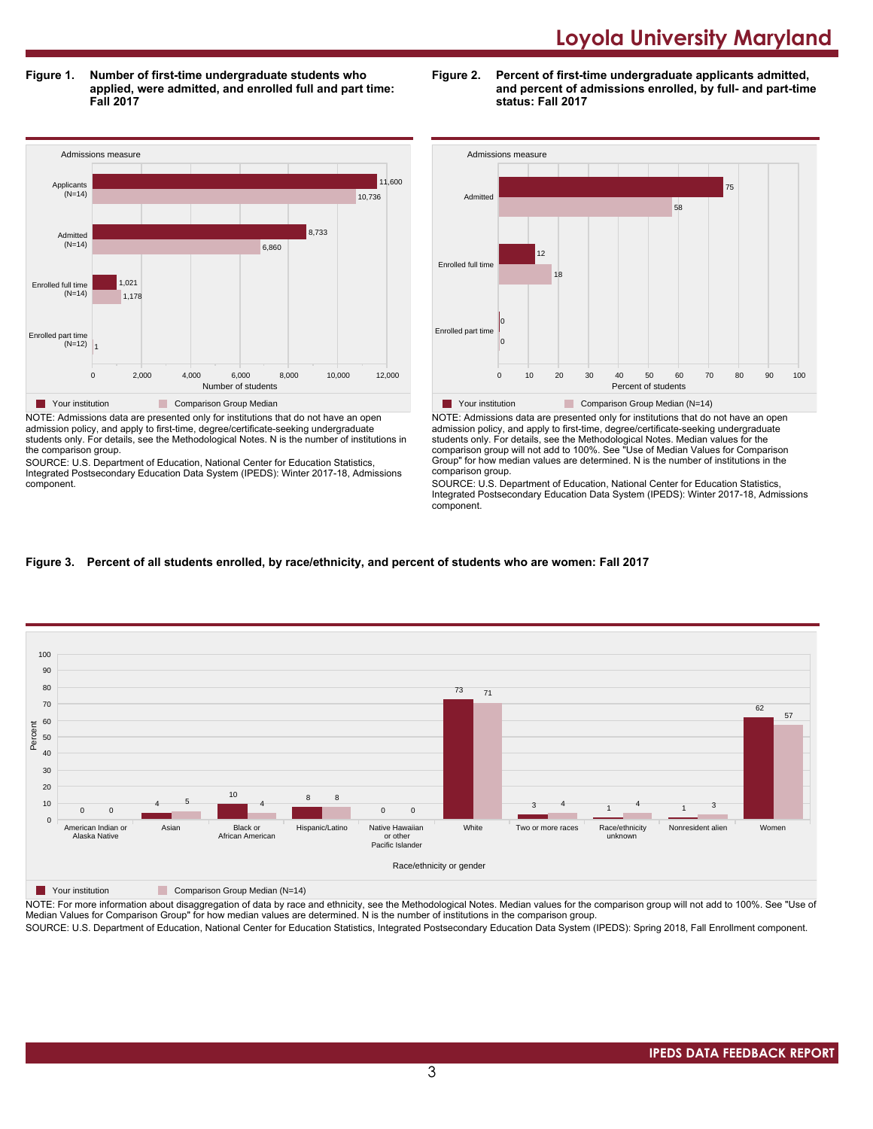**Figure 1. Number of first-time undergraduate students who applied, were admitted, and enrolled full and part time: Fall 2017**



admission policy, and apply to first-time, degree/certificate-seeking undergraduate students only. For details, see the Methodological Notes. N is the number of institutions in the comparison group.

SOURCE: U.S. Department of Education, National Center for Education Statistics, Integrated Postsecondary Education Data System (IPEDS): Winter 2017-18, Admissions component.





NOTE: Admissions data are presented only for institutions that do not have an open admission policy, and apply to first-time, degree/certificate-seeking undergraduate students only. For details, see the Methodological Notes. Median values for the comparison group will not add to 100%. See "Use of Median Values for Comparison Group" for how median values are determined. N is the number of institutions in the comparison group.

SOURCE: U.S. Department of Education, National Center for Education Statistics, Integrated Postsecondary Education Data System (IPEDS): Winter 2017-18, Admissions component.

### **Figure 3. Percent of all students enrolled, by race/ethnicity, and percent of students who are women: Fall 2017**



#### **The Your institution Comparison Group Median (N=14)**

NOTE: For more information about disaggregation of data by race and ethnicity, see the Methodological Notes. Median values for the comparison group will not add to 100%. See "Use of Median Values for Comparison Group" for how median values are determined. N is the number of institutions in the comparison group.

SOURCE: U.S. Department of Education, National Center for Education Statistics, Integrated Postsecondary Education Data System (IPEDS): Spring 2018, Fall Enrollment component.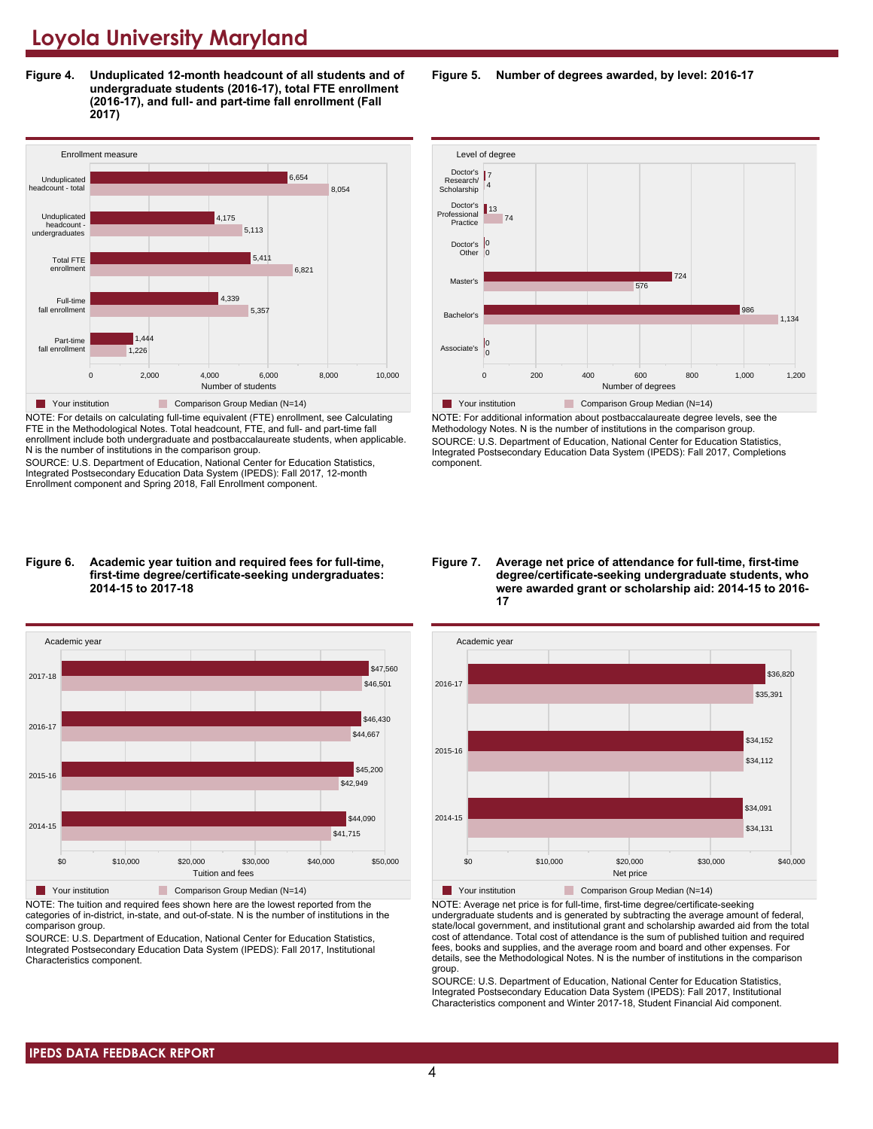**Figure 4. Unduplicated 12-month headcount of all students and of undergraduate students (2016-17), total FTE enrollment (2016-17), and full- and part-time fall enrollment (Fall 2017)**



NOTE: For details on calculating full-time equivalent (FTE) enrollment, see Calculating FTE in the Methodological Notes. Total headcount, FTE, and full- and part-time fall enrollment include both undergraduate and postbaccalaureate students, when applicable. N is the number of institutions in the comparison group.

SOURCE: U.S. Department of Education, National Center for Education Statistics, Integrated Postsecondary Education Data System (IPEDS): Fall 2017, 12-month Enrollment component and Spring 2018, Fall Enrollment component.

#### **Figure 6. Academic year tuition and required fees for full-time, first-time degree/certificate-seeking undergraduates: 2014-15 to 2017-18**



NOTE: The tuition and required fees shown here are the lowest reported from the categories of in-district, in-state, and out-of-state. N is the number of institutions in the comparison group.

SOURCE: U.S. Department of Education, National Center for Education Statistics, Integrated Postsecondary Education Data System (IPEDS): Fall 2017, Institutional Characteristics component.

**Figure 5. Number of degrees awarded, by level: 2016-17**



NOTE: For additional information about postbaccalaureate degree levels, see the Methodology Notes. N is the number of institutions in the comparison group. SOURCE: U.S. Department of Education, National Center for Education Statistics, Integrated Postsecondary Education Data System (IPEDS): Fall 2017, Completions component.

**Figure 7. Average net price of attendance for full-time, first-time degree/certificate-seeking undergraduate students, who were awarded grant or scholarship aid: 2014-15 to 2016- 17**



NOTE: Average net price is for full-time, first-time degree/certificate-seeking undergraduate students and is generated by subtracting the average amount of federal, state/local government, and institutional grant and scholarship awarded aid from the total cost of attendance. Total cost of attendance is the sum of published tuition and required fees, books and supplies, and the average room and board and other expenses. For details, see the Methodological Notes. N is the number of institutions in the comparison group.

SOURCE: U.S. Department of Education, National Center for Education Statistics, Integrated Postsecondary Education Data System (IPEDS): Fall 2017, Institutional Characteristics component and Winter 2017-18, Student Financial Aid component.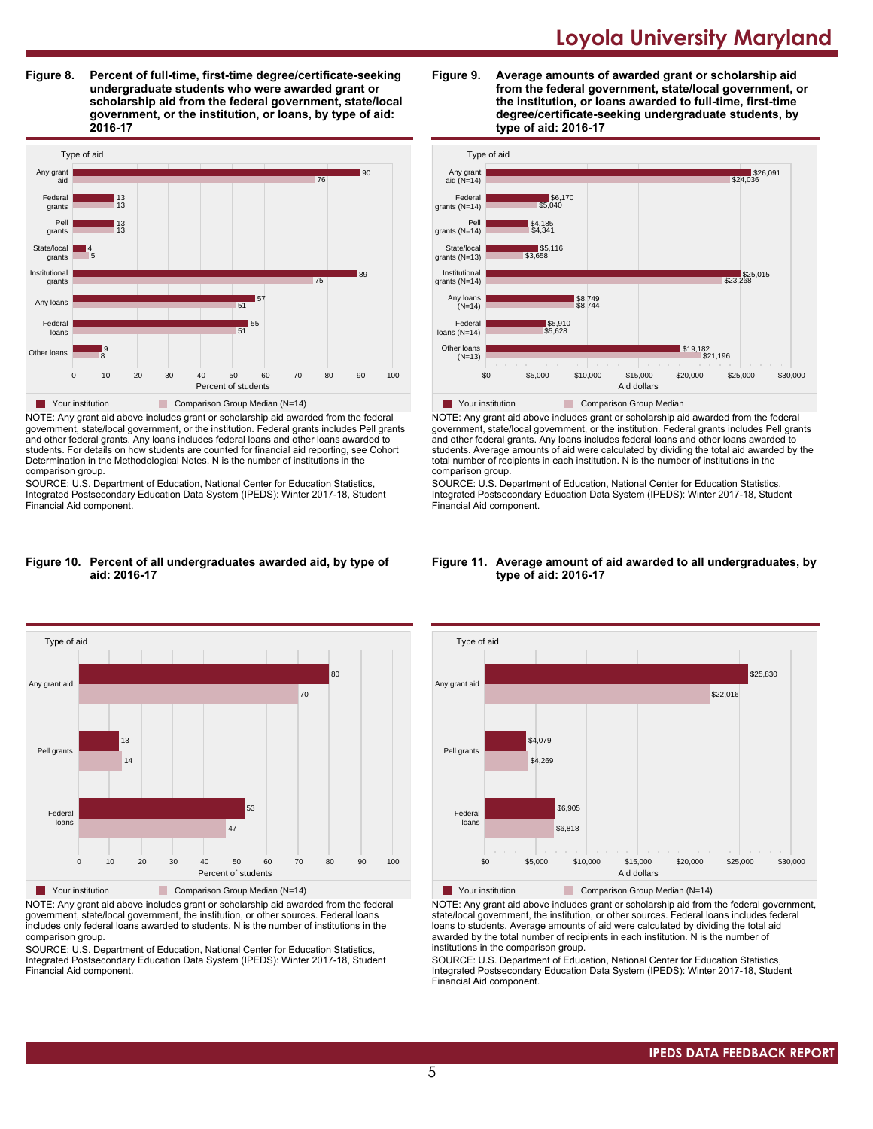**Figure 8. Percent of full-time, first-time degree/certificate-seeking undergraduate students who were awarded grant or scholarship aid from the federal government, state/local government, or the institution, or loans, by type of aid: 2016-17**



NOTE: Any grant aid above includes grant or scholarship aid awarded from the federal government, state/local government, or the institution. Federal grants includes Pell grants and other federal grants. Any loans includes federal loans and other loans awarded to students. For details on how students are counted for financial aid reporting, see Cohort Determination in the Methodological Notes. N is the number of institutions in the comparison group.

SOURCE: U.S. Department of Education, National Center for Education Statistics, Integrated Postsecondary Education Data System (IPEDS): Winter 2017-18, Student Financial Aid component.

#### **Figure 10. Percent of all undergraduates awarded aid, by type of aid: 2016-17**



NOTE: Any grant aid above includes grant or scholarship aid awarded from the federal government, state/local government, the institution, or other sources. Federal loans includes only federal loans awarded to students. N is the number of institutions in the comparison group.

SOURCE: U.S. Department of Education, National Center for Education Statistics, Integrated Postsecondary Education Data System (IPEDS): Winter 2017-18, Student Financial Aid component.





NOTE: Any grant aid above includes grant or scholarship aid awarded from the federal government, state/local government, or the institution. Federal grants includes Pell grants and other federal grants. Any loans includes federal loans and other loans awarded to students. Average amounts of aid were calculated by dividing the total aid awarded by the total number of recipients in each institution. N is the number of institutions in the comparison group.

SOURCE: U.S. Department of Education, National Center for Education Statistics, Integrated Postsecondary Education Data System (IPEDS): Winter 2017-18, Student Financial Aid component.



#### **Figure 11. Average amount of aid awarded to all undergraduates, by type of aid: 2016-17**

Your institution Comparison Group Median (N=14)

NOTE: Any grant aid above includes grant or scholarship aid from the federal government, state/local government, the institution, or other sources. Federal loans includes federal loans to students. Average amounts of aid were calculated by dividing the total aid awarded by the total number of recipients in each institution. N is the number of institutions in the comparison group.

SOURCE: U.S. Department of Education, National Center for Education Statistics, Integrated Postsecondary Education Data System (IPEDS): Winter 2017-18, Student Financial Aid component.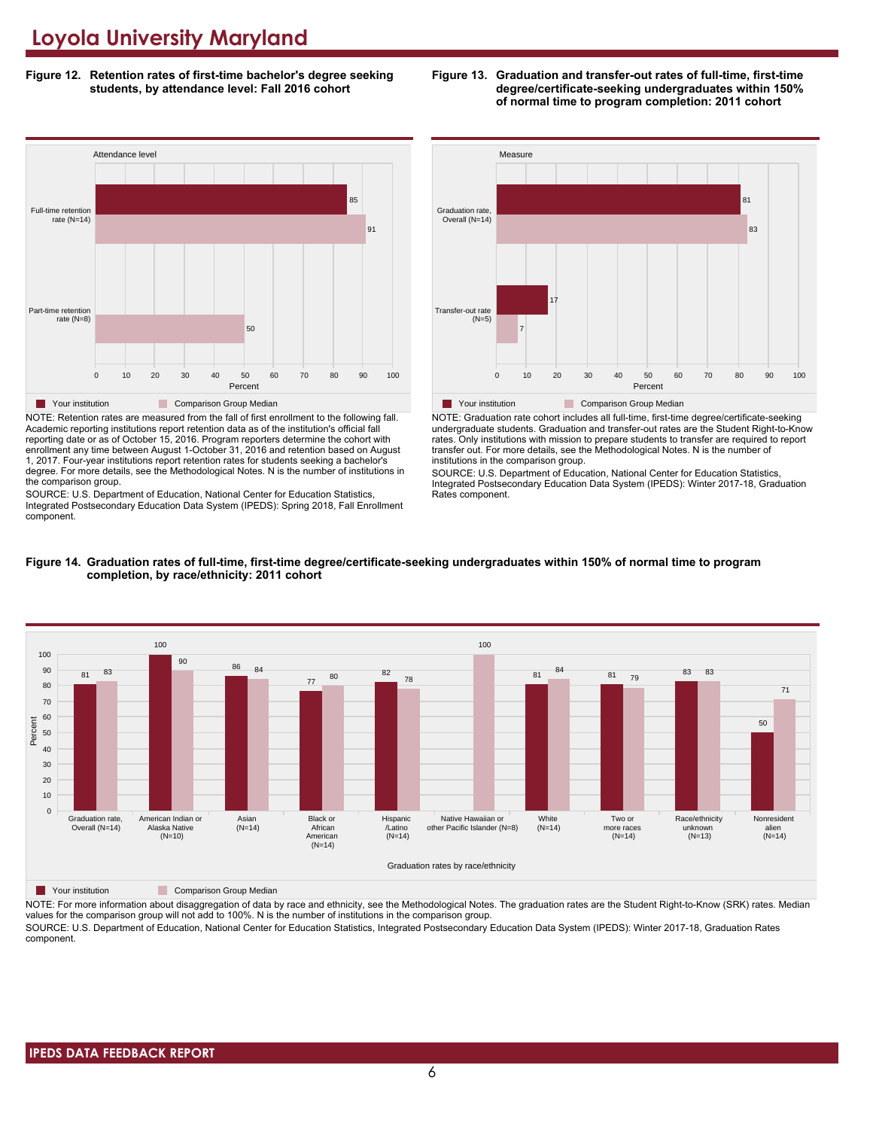**Figure 12. Retention rates of first-time bachelor's degree seeking students, by attendance level: Fall 2016 cohort**



NOTE: Retention rates are measured from the fall of first enrollment to the following fall. Academic reporting institutions report retention data as of the institution's official fall reporting date or as of October 15, 2016. Program reporters determine the cohort with enrollment any time between August 1-October 31, 2016 and retention based on August 1, 2017. Four-year institutions report retention rates for students seeking a bachelor's degree. For more details, see the Methodological Notes. N is the number of institutions in the comparison group.

SOURCE: U.S. Department of Education, National Center for Education Statistics, Integrated Postsecondary Education Data System (IPEDS): Spring 2018, Fall Enrollment component.





NOTE: Graduation rate cohort includes all full-time, first-time degree/certificate-seeking undergraduate students. Graduation and transfer-out rates are the Student Right-to-Know rates. Only institutions with mission to prepare students to transfer are required to report transfer out. For more details, see the Methodological Notes. N is the number of institutions in the comparison group.

SOURCE: U.S. Department of Education, National Center for Education Statistics, Integrated Postsecondary Education Data System (IPEDS): Winter 2017-18, Graduation Rates component.



#### **Figure 14. Graduation rates of full-time, first-time degree/certificate-seeking undergraduates within 150% of normal time to program completion, by race/ethnicity: 2011 cohort**

**The Your institution** Comparison Group Median

NOTE: For more information about disaggregation of data by race and ethnicity, see the Methodological Notes. The graduation rates are the Student Right-to-Know (SRK) rates. Median values for the comparison group will not add to 100%. N is the number of institutions in the comparison group.

SOURCE: U.S. Department of Education, National Center for Education Statistics, Integrated Postsecondary Education Data System (IPEDS): Winter 2017-18, Graduation Rates component.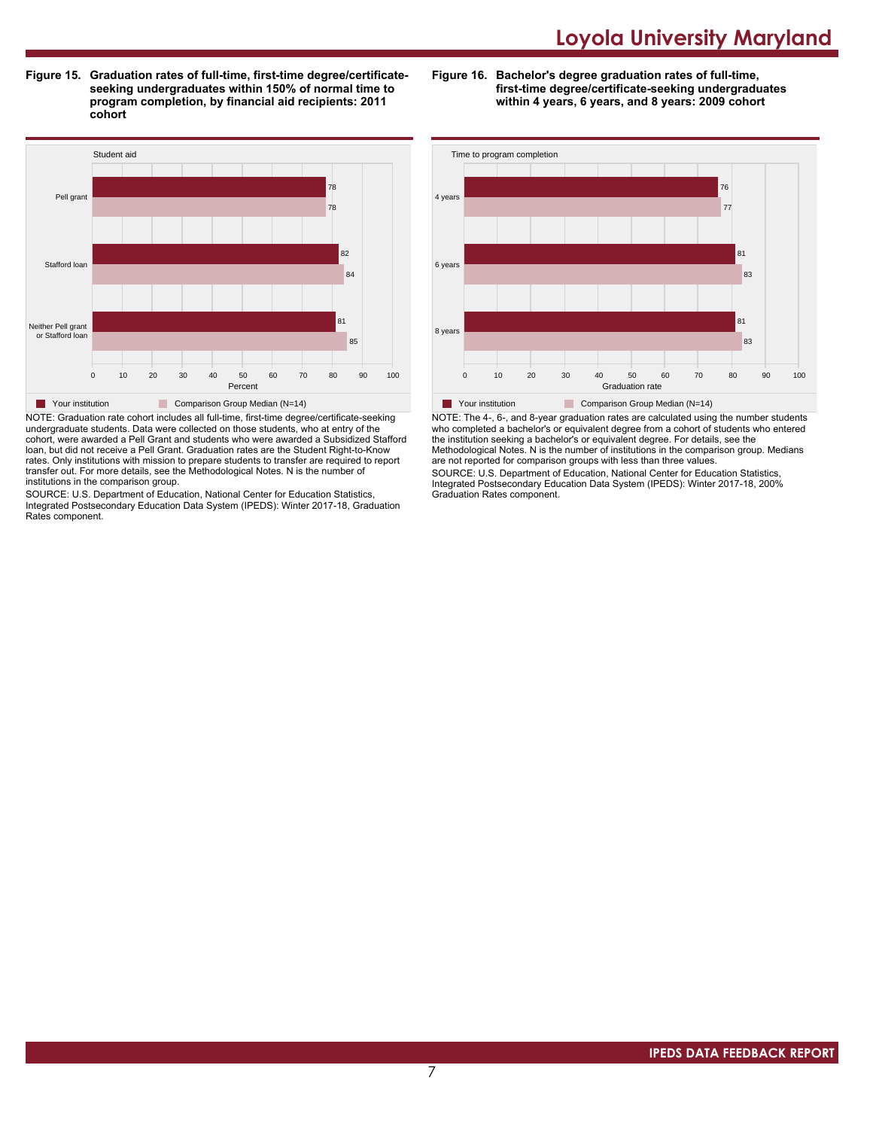**Figure 15. Graduation rates of full-time, first-time degree/certificateseeking undergraduates within 150% of normal time to program completion, by financial aid recipients: 2011 cohort**

**Figure 16. Bachelor's degree graduation rates of full-time, first-time degree/certificate-seeking undergraduates within 4 years, 6 years, and 8 years: 2009 cohort**



NOTE: Graduation rate cohort includes all full-time, first-time degree/certificate-seeking undergraduate students. Data were collected on those students, who at entry of the cohort, were awarded a Pell Grant and students who were awarded a Subsidized Stafford loan, but did not receive a Pell Grant. Graduation rates are the Student Right-to-Know rates. Only institutions with mission to prepare students to transfer are required to report transfer out. For more details, see the Methodological Notes. N is the number of institutions in the comparison group.

SOURCE: U.S. Department of Education, National Center for Education Statistics, Integrated Postsecondary Education Data System (IPEDS): Winter 2017-18, Graduation Rates component.



NOTE: The 4-, 6-, and 8-year graduation rates are calculated using the number students who completed a bachelor's or equivalent degree from a cohort of students who entered the institution seeking a bachelor's or equivalent degree. For details, see the Methodological Notes. N is the number of institutions in the comparison group. Medians are not reported for comparison groups with less than three values.

SOURCE: U.S. Department of Education, National Center for Education Statistics, Integrated Postsecondary Education Data System (IPEDS): Winter 2017-18, 200% Graduation Rates component.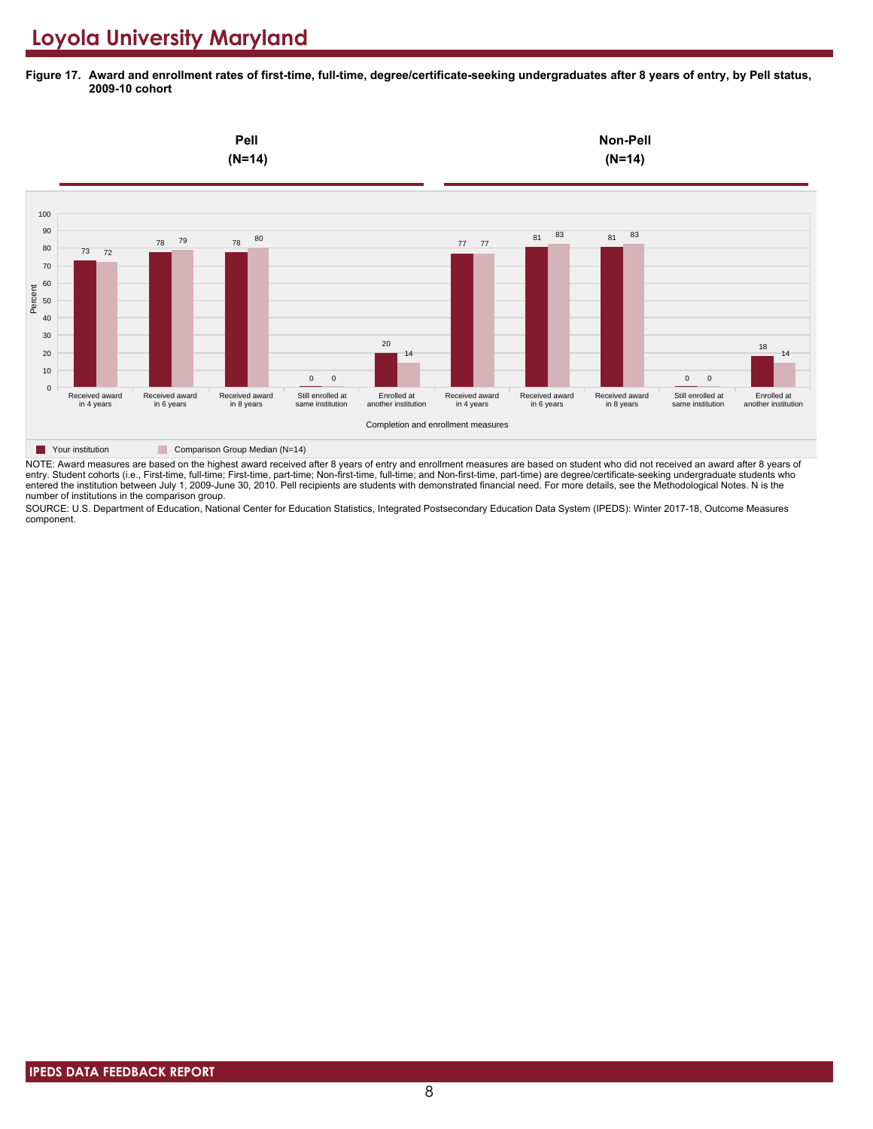**Figure 17. Award and enrollment rates of first-time, full-time, degree/certificate-seeking undergraduates after 8 years of entry, by Pell status, 2009-10 cohort**



NOTE: Award measures are based on the highest award received after 8 years of entry and enrollment measures are based on student who did not received an award after 8 years of entry. Student cohorts (i.e., First-time, full-time; First-time, part-time; Non-first-time, full-time; and Non-first-time, part-time) are degree/certificate-seeking undergraduate students who entered the institution between July 1, 2009-June 30, 2010. Pell recipients are students with demonstrated financial need. For more details, see the Methodological Notes. N is the number of institutions in the comparison group.

SOURCE: U.S. Department of Education, National Center for Education Statistics, Integrated Postsecondary Education Data System (IPEDS): Winter 2017-18, Outcome Measures component.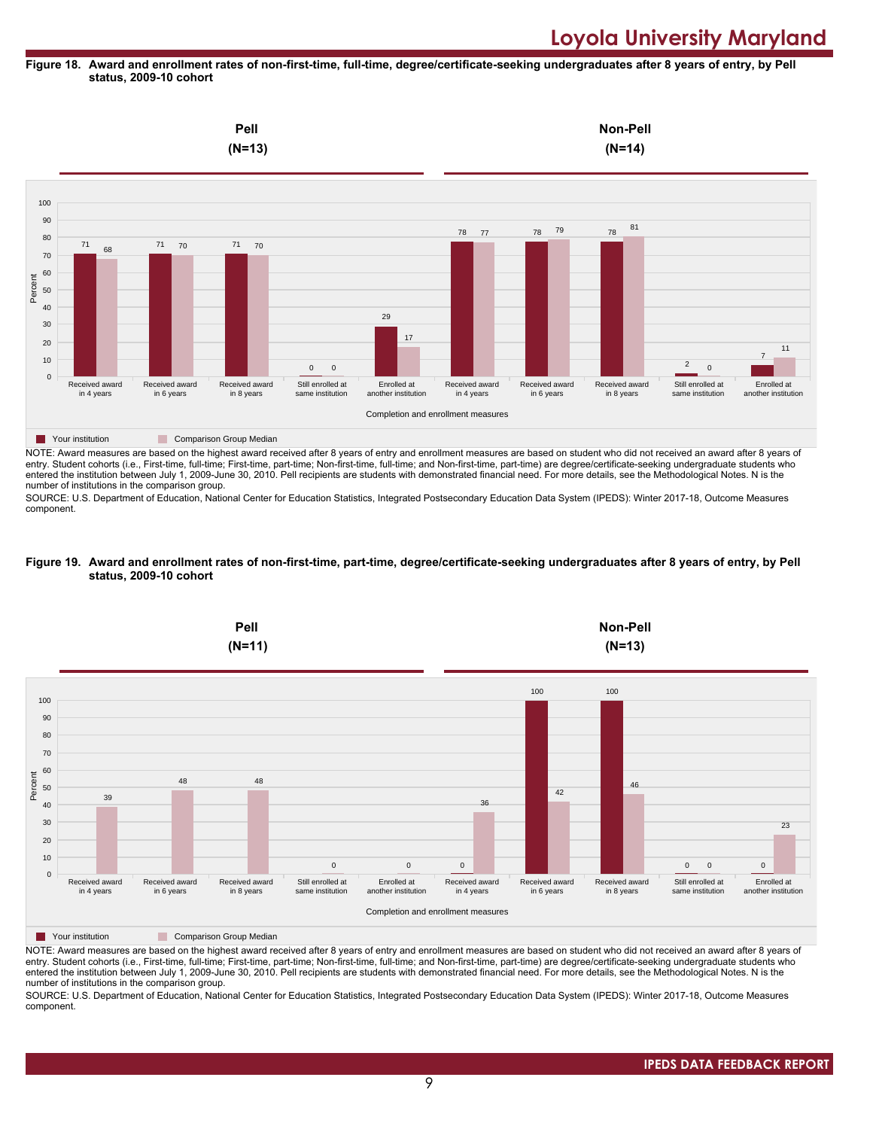#### **Figure 18. Award and enrollment rates of non-first-time, full-time, degree/certificate-seeking undergraduates after 8 years of entry, by Pell status, 2009-10 cohort**

![](_page_8_Figure_2.jpeg)

NOTE: Award measures are based on the highest award received after 8 years of entry and enrollment measures are based on student who did not received an award after 8 years of entry. Student cohorts (i.e., First-time, full-time; First-time, part-time; Non-first-time, full-time; and Non-first-time, part-time) are degree/certificate-seeking undergraduate students who entered the institution between July 1, 2009-June 30, 2010. Pell recipients are students with demonstrated financial need. For more details, see the Methodological Notes. N is the number of institutions in the comparison group.

SOURCE: U.S. Department of Education, National Center for Education Statistics, Integrated Postsecondary Education Data System (IPEDS): Winter 2017-18, Outcome Measures component.

#### **Figure 19. Award and enrollment rates of non-first-time, part-time, degree/certificate-seeking undergraduates after 8 years of entry, by Pell status, 2009-10 cohort**

![](_page_8_Figure_6.jpeg)

NOTE: Award measures are based on the highest award received after 8 years of entry and enrollment measures are based on student who did not received an award after 8 years of entry. Student cohorts (i.e., First-time, full-time; First-time, part-time; Non-first-time, full-time; and Non-first-time, part-time) are degree/certificate-seeking undergraduate students who entered the institution between July 1, 2009-June 30, 2010. Pell recipients are students with demonstrated financial need. For more details, see the Methodological Notes. N is the number of institutions in the comparison group.

SOURCE: U.S. Department of Education, National Center for Education Statistics, Integrated Postsecondary Education Data System (IPEDS): Winter 2017-18, Outcome Measures component.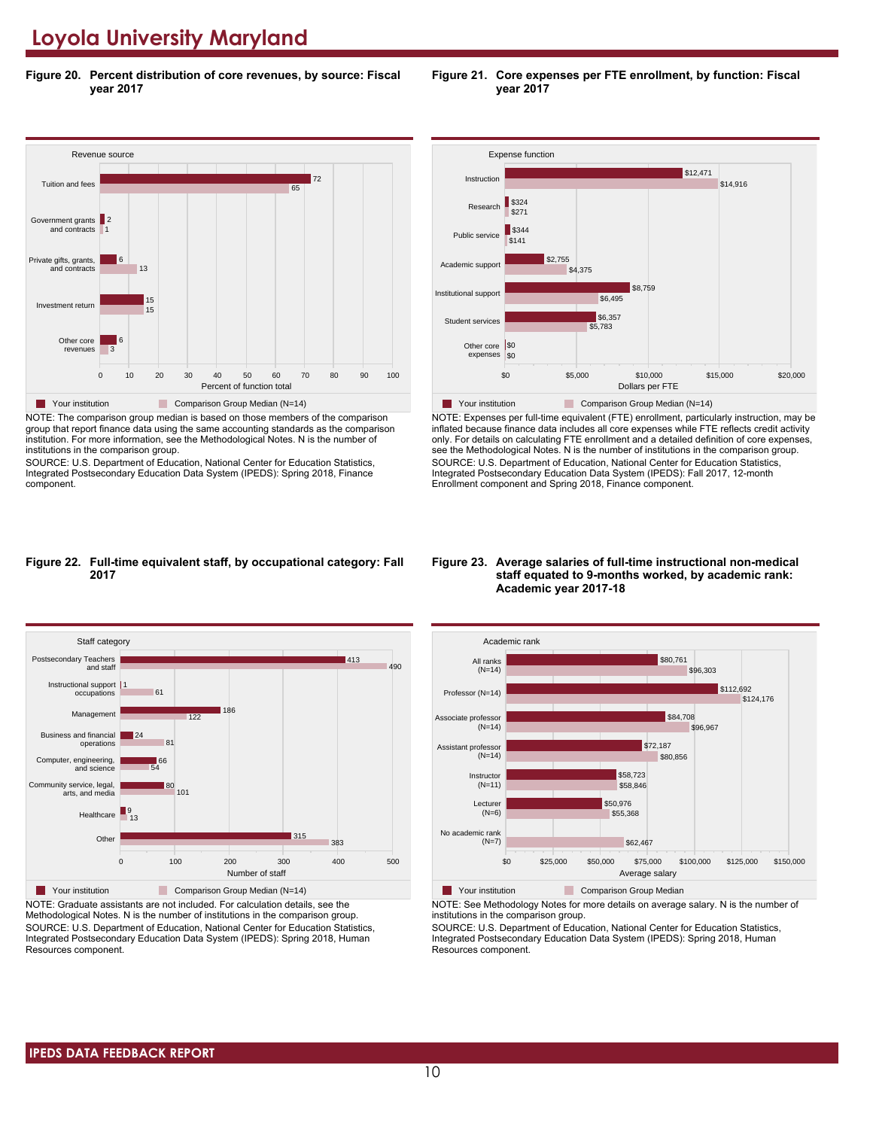**Figure 20. Percent distribution of core revenues, by source: Fiscal year 2017**

![](_page_9_Figure_2.jpeg)

NOTE: The comparison group median is based on those members of the comparison group that report finance data using the same accounting standards as the comparison institution. For more information, see the Methodological Notes. N is the number of institutions in the comparison group.

SOURCE: U.S. Department of Education, National Center for Education Statistics, Integrated Postsecondary Education Data System (IPEDS): Spring 2018, Finance component.

![](_page_9_Figure_5.jpeg)

**Figure 21. Core expenses per FTE enrollment, by function: Fiscal**

**year 2017**

**Table 7 Your institution** Comparison Group Median (N=14) NOTE: Expenses per full-time equivalent (FTE) enrollment, particularly instruction, may be inflated because finance data includes all core expenses while FTE reflects credit activity only. For details on calculating FTE enrollment and a detailed definition of core expenses, see the Methodological Notes. N is the number of institutions in the comparison group. SOURCE: U.S. Department of Education, National Center for Education Statistics, Integrated Postsecondary Education Data System (IPEDS): Fall 2017, 12-month Enrollment component and Spring 2018, Finance component.

Dollars per FTE

#### **Figure 22. Full-time equivalent staff, by occupational category: Fall 2017**

![](_page_9_Figure_8.jpeg)

NOTE: Graduate assistants are not included. For calculation details, see the Methodological Notes. N is the number of institutions in the comparison group. SOURCE: U.S. Department of Education, National Center for Education Statistics, Integrated Postsecondary Education Data System (IPEDS): Spring 2018, Human Resources component.

#### **Figure 23. Average salaries of full-time instructional non-medical staff equated to 9-months worked, by academic rank: Academic year 2017-18**

![](_page_9_Figure_11.jpeg)

NOTE: See Methodology Notes for more details on average salary. N is the number of institutions in the comparison group.

SOURCE: U.S. Department of Education, National Center for Education Statistics, Integrated Postsecondary Education Data System (IPEDS): Spring 2018, Human Resources component.

# \$0 \$5,000 \$10,000 \$15,000 \$20,000 expenses \$0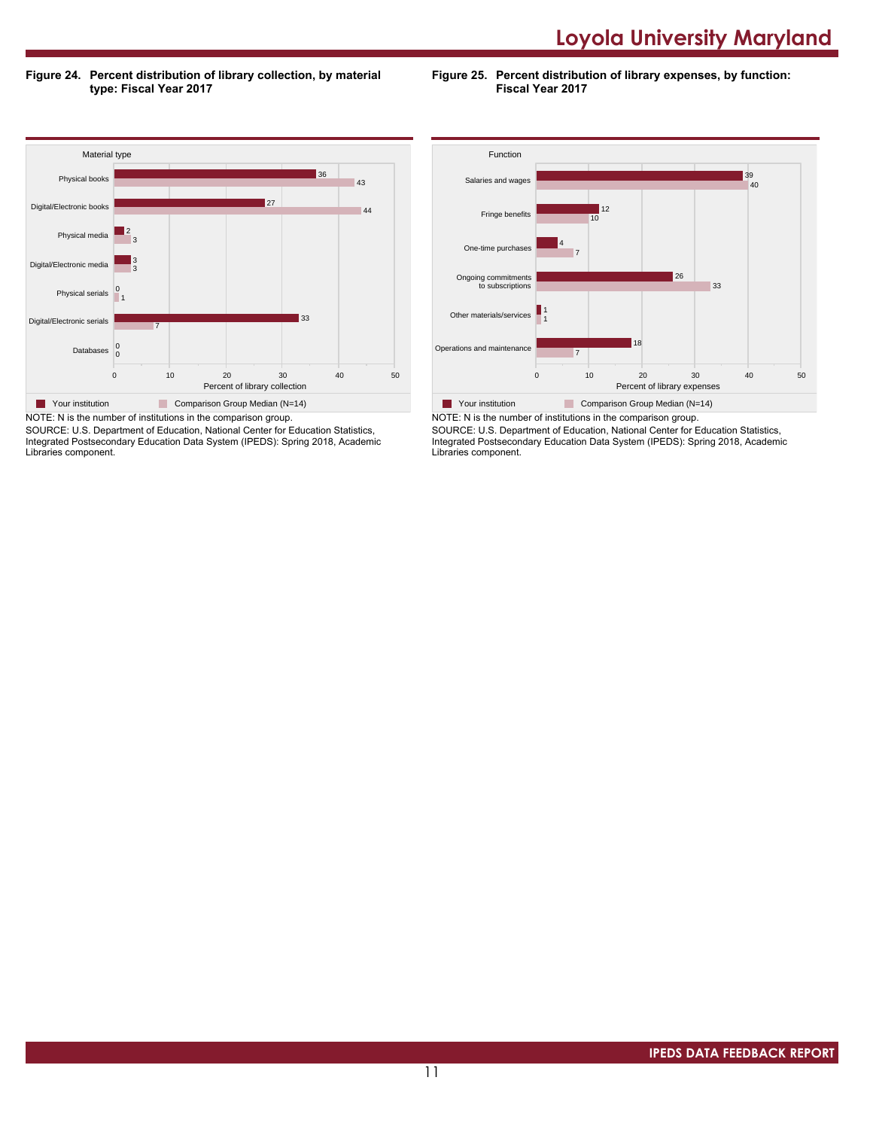**Figure 24. Percent distribution of library collection, by material type: Fiscal Year 2017**

**Figure 25. Percent distribution of library expenses, by function: Fiscal Year 2017**

![](_page_10_Figure_3.jpeg)

SOURCE: U.S. Department of Education, National Center for Education Statistics, Integrated Postsecondary Education Data System (IPEDS): Spring 2018, Academic Libraries component.

![](_page_10_Figure_5.jpeg)

NOTE: N is the number of institutions in the comparison group. SOURCE: U.S. Department of Education, National Center for Education Statistics, Integrated Postsecondary Education Data System (IPEDS): Spring 2018, Academic Libraries component.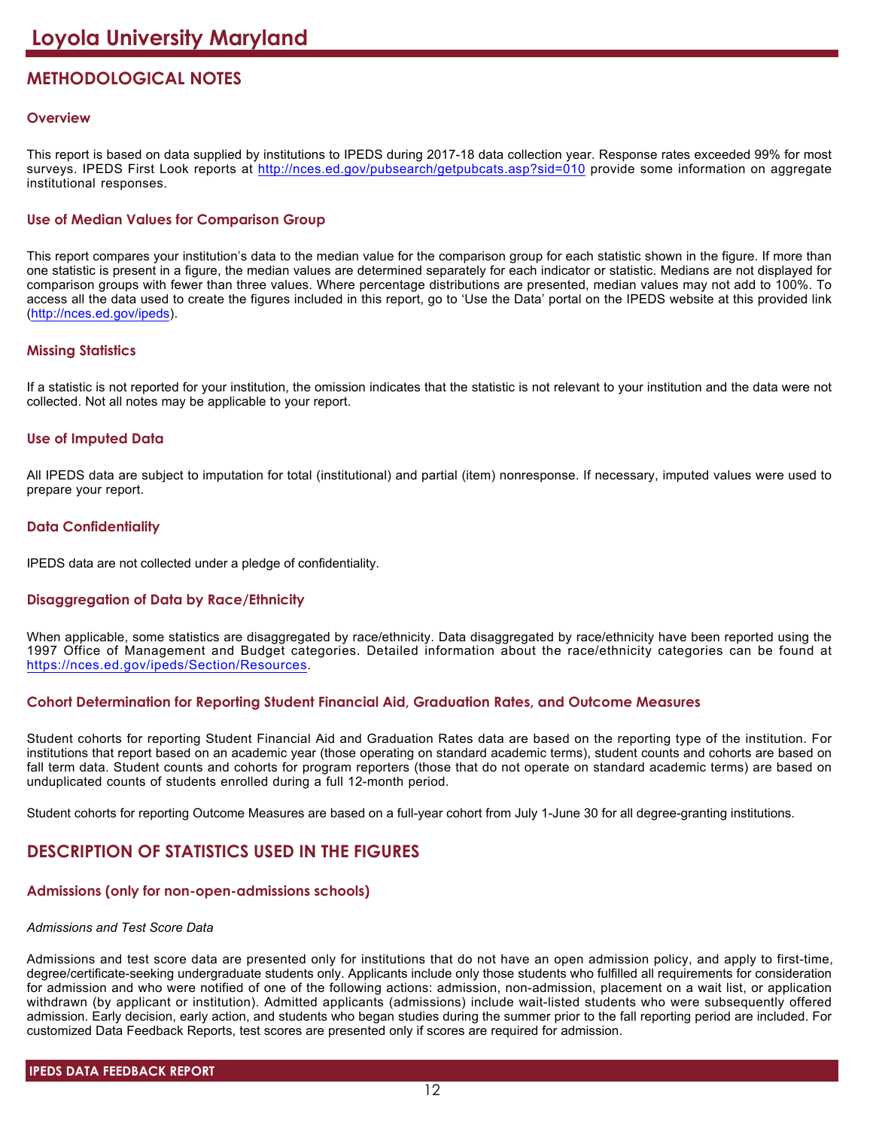# **METHODOLOGICAL NOTES**

# **Overview**

This report is based on data supplied by institutions to IPEDS during 2017-18 data collection year. Response rates exceeded 99% for most surveys. IPEDS First Look reports at <http://nces.ed.gov/pubsearch/getpubcats.asp?sid=010> provide some information on aggregate institutional responses.

# **Use of Median Values for Comparison Group**

This report compares your institution's data to the median value for the comparison group for each statistic shown in the figure. If more than one statistic is present in a figure, the median values are determined separately for each indicator or statistic. Medians are not displayed for comparison groups with fewer than three values. Where percentage distributions are presented, median values may not add to 100%. To access all the data used to create the figures included in this report, go to 'Use the Data' portal on the IPEDS website at this provided link (<http://nces.ed.gov/ipeds>).

# **Missing Statistics**

If a statistic is not reported for your institution, the omission indicates that the statistic is not relevant to your institution and the data were not collected. Not all notes may be applicable to your report.

# **Use of Imputed Data**

All IPEDS data are subject to imputation for total (institutional) and partial (item) nonresponse. If necessary, imputed values were used to prepare your report.

# **Data Confidentiality**

IPEDS data are not collected under a pledge of confidentiality.

# **Disaggregation of Data by Race/Ethnicity**

When applicable, some statistics are disaggregated by race/ethnicity. Data disaggregated by race/ethnicity have been reported using the 1997 Office of Management and Budget categories. Detailed information about the race/ethnicity categories can be found at <https://nces.ed.gov/ipeds/Section/Resources>.

# **Cohort Determination for Reporting Student Financial Aid, Graduation Rates, and Outcome Measures**

Student cohorts for reporting Student Financial Aid and Graduation Rates data are based on the reporting type of the institution. For institutions that report based on an academic year (those operating on standard academic terms), student counts and cohorts are based on fall term data. Student counts and cohorts for program reporters (those that do not operate on standard academic terms) are based on unduplicated counts of students enrolled during a full 12-month period.

Student cohorts for reporting Outcome Measures are based on a full-year cohort from July 1-June 30 for all degree-granting institutions.

# **DESCRIPTION OF STATISTICS USED IN THE FIGURES**

# **Admissions (only for non-open-admissions schools)**

### *Admissions and Test Score Data*

Admissions and test score data are presented only for institutions that do not have an open admission policy, and apply to first-time, degree/certificate-seeking undergraduate students only. Applicants include only those students who fulfilled all requirements for consideration for admission and who were notified of one of the following actions: admission, non-admission, placement on a wait list, or application withdrawn (by applicant or institution). Admitted applicants (admissions) include wait-listed students who were subsequently offered admission. Early decision, early action, and students who began studies during the summer prior to the fall reporting period are included. For customized Data Feedback Reports, test scores are presented only if scores are required for admission.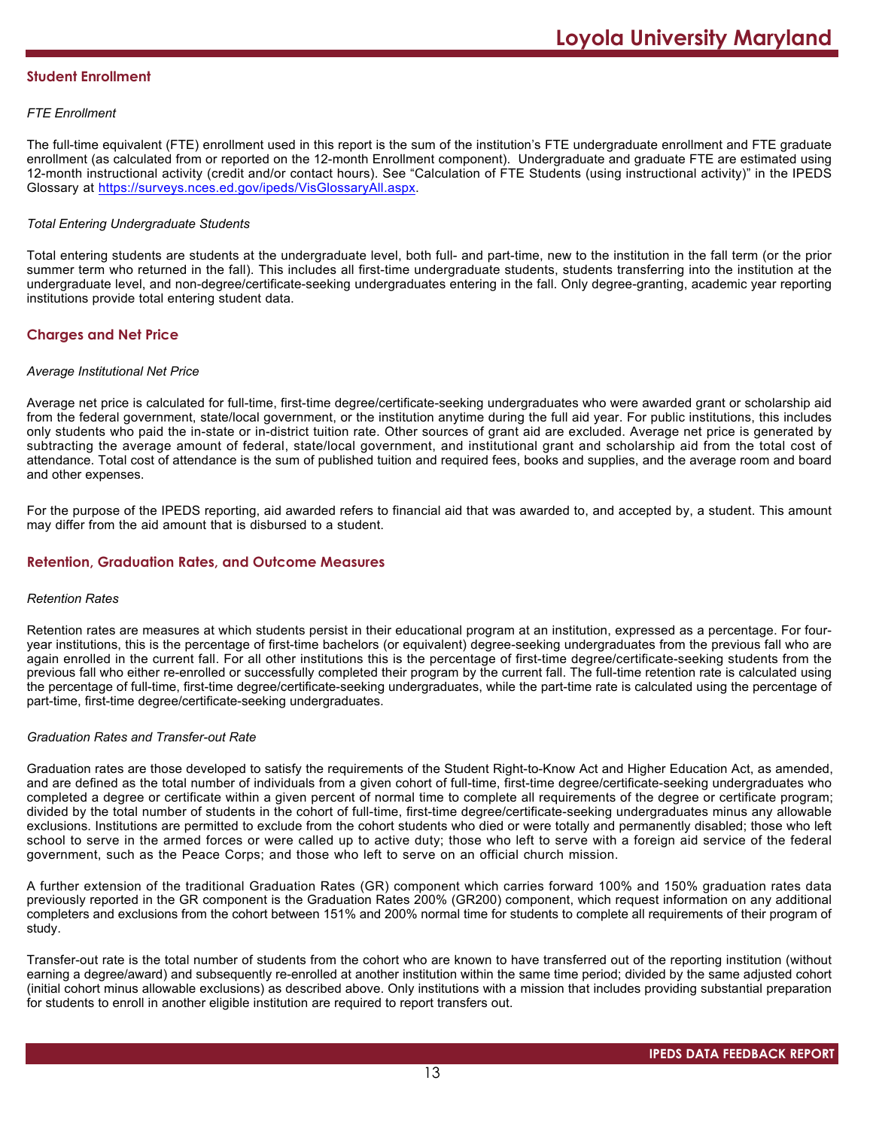# **Student Enrollment**

# *FTE Enrollment*

The full-time equivalent (FTE) enrollment used in this report is the sum of the institution's FTE undergraduate enrollment and FTE graduate enrollment (as calculated from or reported on the 12-month Enrollment component). Undergraduate and graduate FTE are estimated using 12-month instructional activity (credit and/or contact hours). See "Calculation of FTE Students (using instructional activity)" in the IPEDS Glossary at <https://surveys.nces.ed.gov/ipeds/VisGlossaryAll.aspx>.

# *Total Entering Undergraduate Students*

Total entering students are students at the undergraduate level, both full- and part-time, new to the institution in the fall term (or the prior summer term who returned in the fall). This includes all first-time undergraduate students, students transferring into the institution at the undergraduate level, and non-degree/certificate-seeking undergraduates entering in the fall. Only degree-granting, academic year reporting institutions provide total entering student data.

# **Charges and Net Price**

### *Average Institutional Net Price*

Average net price is calculated for full-time, first-time degree/certificate-seeking undergraduates who were awarded grant or scholarship aid from the federal government, state/local government, or the institution anytime during the full aid year. For public institutions, this includes only students who paid the in-state or in-district tuition rate. Other sources of grant aid are excluded. Average net price is generated by subtracting the average amount of federal, state/local government, and institutional grant and scholarship aid from the total cost of attendance. Total cost of attendance is the sum of published tuition and required fees, books and supplies, and the average room and board and other expenses.

For the purpose of the IPEDS reporting, aid awarded refers to financial aid that was awarded to, and accepted by, a student. This amount may differ from the aid amount that is disbursed to a student.

# **Retention, Graduation Rates, and Outcome Measures**

### *Retention Rates*

Retention rates are measures at which students persist in their educational program at an institution, expressed as a percentage. For fouryear institutions, this is the percentage of first-time bachelors (or equivalent) degree-seeking undergraduates from the previous fall who are again enrolled in the current fall. For all other institutions this is the percentage of first-time degree/certificate-seeking students from the previous fall who either re-enrolled or successfully completed their program by the current fall. The full-time retention rate is calculated using the percentage of full-time, first-time degree/certificate-seeking undergraduates, while the part-time rate is calculated using the percentage of part-time, first-time degree/certificate-seeking undergraduates.

### *Graduation Rates and Transfer-out Rate*

Graduation rates are those developed to satisfy the requirements of the Student Right-to-Know Act and Higher Education Act, as amended, and are defined as the total number of individuals from a given cohort of full-time, first-time degree/certificate-seeking undergraduates who completed a degree or certificate within a given percent of normal time to complete all requirements of the degree or certificate program; divided by the total number of students in the cohort of full-time, first-time degree/certificate-seeking undergraduates minus any allowable exclusions. Institutions are permitted to exclude from the cohort students who died or were totally and permanently disabled; those who left school to serve in the armed forces or were called up to active duty; those who left to serve with a foreign aid service of the federal government, such as the Peace Corps; and those who left to serve on an official church mission.

A further extension of the traditional Graduation Rates (GR) component which carries forward 100% and 150% graduation rates data previously reported in the GR component is the Graduation Rates 200% (GR200) component, which request information on any additional completers and exclusions from the cohort between 151% and 200% normal time for students to complete all requirements of their program of study.

Transfer-out rate is the total number of students from the cohort who are known to have transferred out of the reporting institution (without earning a degree/award) and subsequently re-enrolled at another institution within the same time period; divided by the same adjusted cohort (initial cohort minus allowable exclusions) as described above. Only institutions with a mission that includes providing substantial preparation for students to enroll in another eligible institution are required to report transfers out.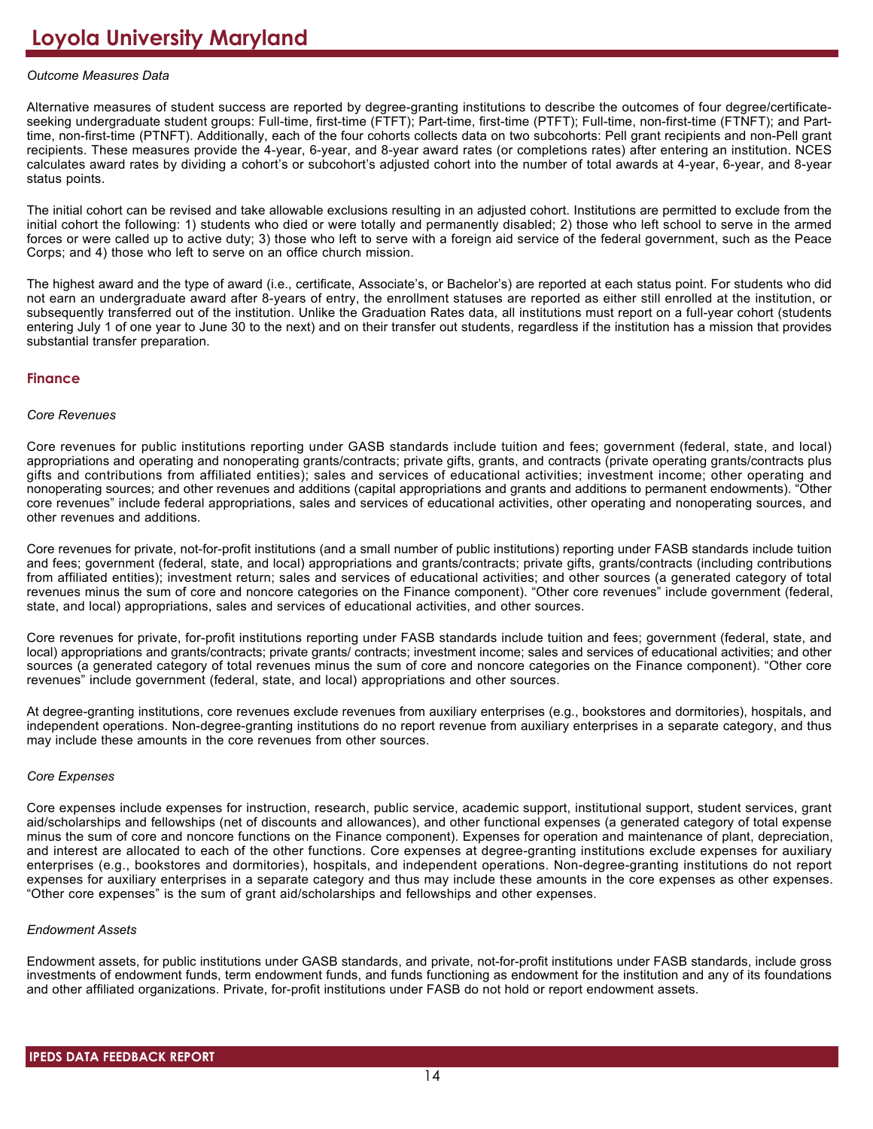# *Outcome Measures Data*

Alternative measures of student success are reported by degree-granting institutions to describe the outcomes of four degree/certificateseeking undergraduate student groups: Full-time, first-time (FTFT); Part-time, first-time (PTFT); Full-time, non-first-time (FTNFT); and Parttime, non-first-time (PTNFT). Additionally, each of the four cohorts collects data on two subcohorts: Pell grant recipients and non-Pell grant recipients. These measures provide the 4-year, 6-year, and 8-year award rates (or completions rates) after entering an institution. NCES calculates award rates by dividing a cohort's or subcohort's adjusted cohort into the number of total awards at 4-year, 6-year, and 8-year status points.

The initial cohort can be revised and take allowable exclusions resulting in an adjusted cohort. Institutions are permitted to exclude from the initial cohort the following: 1) students who died or were totally and permanently disabled; 2) those who left school to serve in the armed forces or were called up to active duty; 3) those who left to serve with a foreign aid service of the federal government, such as the Peace Corps; and 4) those who left to serve on an office church mission.

The highest award and the type of award (i.e., certificate, Associate's, or Bachelor's) are reported at each status point. For students who did not earn an undergraduate award after 8-years of entry, the enrollment statuses are reported as either still enrolled at the institution, or subsequently transferred out of the institution. Unlike the Graduation Rates data, all institutions must report on a full-year cohort (students entering July 1 of one year to June 30 to the next) and on their transfer out students, regardless if the institution has a mission that provides substantial transfer preparation.

# **Finance**

### *Core Revenues*

Core revenues for public institutions reporting under GASB standards include tuition and fees; government (federal, state, and local) appropriations and operating and nonoperating grants/contracts; private gifts, grants, and contracts (private operating grants/contracts plus gifts and contributions from affiliated entities); sales and services of educational activities; investment income; other operating and nonoperating sources; and other revenues and additions (capital appropriations and grants and additions to permanent endowments). "Other core revenues" include federal appropriations, sales and services of educational activities, other operating and nonoperating sources, and other revenues and additions.

Core revenues for private, not-for-profit institutions (and a small number of public institutions) reporting under FASB standards include tuition and fees; government (federal, state, and local) appropriations and grants/contracts; private gifts, grants/contracts (including contributions from affiliated entities); investment return; sales and services of educational activities; and other sources (a generated category of total revenues minus the sum of core and noncore categories on the Finance component). "Other core revenues" include government (federal, state, and local) appropriations, sales and services of educational activities, and other sources.

Core revenues for private, for-profit institutions reporting under FASB standards include tuition and fees; government (federal, state, and local) appropriations and grants/contracts; private grants/ contracts; investment income; sales and services of educational activities; and other sources (a generated category of total revenues minus the sum of core and noncore categories on the Finance component). "Other core revenues" include government (federal, state, and local) appropriations and other sources.

At degree-granting institutions, core revenues exclude revenues from auxiliary enterprises (e.g., bookstores and dormitories), hospitals, and independent operations. Non-degree-granting institutions do no report revenue from auxiliary enterprises in a separate category, and thus may include these amounts in the core revenues from other sources.

### *Core Expenses*

Core expenses include expenses for instruction, research, public service, academic support, institutional support, student services, grant aid/scholarships and fellowships (net of discounts and allowances), and other functional expenses (a generated category of total expense minus the sum of core and noncore functions on the Finance component). Expenses for operation and maintenance of plant, depreciation, and interest are allocated to each of the other functions. Core expenses at degree-granting institutions exclude expenses for auxiliary enterprises (e.g., bookstores and dormitories), hospitals, and independent operations. Non-degree-granting institutions do not report expenses for auxiliary enterprises in a separate category and thus may include these amounts in the core expenses as other expenses. "Other core expenses" is the sum of grant aid/scholarships and fellowships and other expenses.

### *Endowment Assets*

Endowment assets, for public institutions under GASB standards, and private, not-for-profit institutions under FASB standards, include gross investments of endowment funds, term endowment funds, and funds functioning as endowment for the institution and any of its foundations and other affiliated organizations. Private, for-profit institutions under FASB do not hold or report endowment assets.